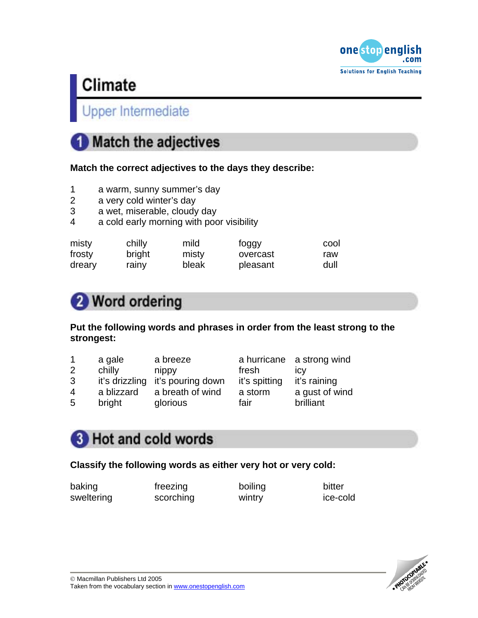

### **Upper Intermediate**

## **Match the adjectives**

**Match the correct adjectives to the days they describe:** 

- 1 a warm, sunny summer's day
- 2 a very cold winter's day
- 3 a wet, miserable, cloudy day
- 4 a cold early morning with poor visibility

| misty  | chilly | mild  | foggy    | cool |
|--------|--------|-------|----------|------|
| frosty | bright | misty | overcast | raw  |
| dreary | rainy  | bleak | pleasant | dull |

## Word ordering

### **Put the following words and phrases in order from the least strong to the strongest:**

|                | a gale     | a breeze                         |               | a hurricane a strong wind |
|----------------|------------|----------------------------------|---------------|---------------------------|
| 2              | chilly     | nippy                            | fresh         | <b>ICV</b>                |
| 3              |            | it's drizzling it's pouring down | it's spitting | it's raining              |
| $\overline{4}$ | a blizzard | a breath of wind                 | a storm       | a gust of wind            |
| 5              | bright     | glorious                         | fair          | brilliant                 |

## **3** Hot and cold words

### **Classify the following words as either very hot or very cold:**

baking freezing boiling bitter sweltering scorching wintry ice-cold

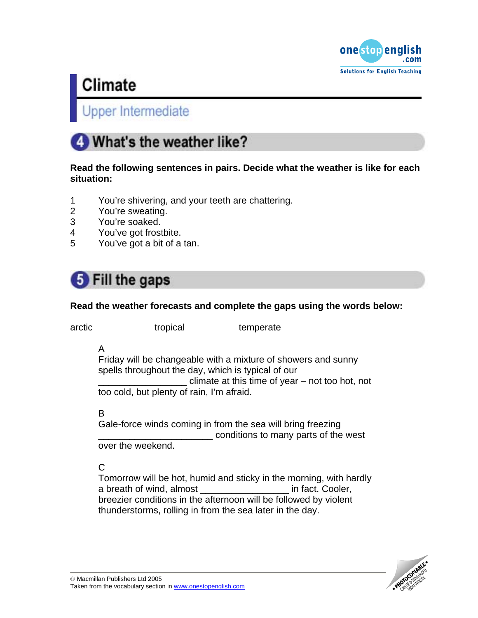

### **Jpper Intermediate**

## What's the weather like?

### **Read the following sentences in pairs. Decide what the weather is like for each situation:**

- 1 You're shivering, and your teeth are chattering.
- 2 You're sweating.
- 3 You're soaked.
- 4 You've got frostbite.
- 5 You've got a bit of a tan.

## **5** Fill the gaps

### **Read the weather forecasts and complete the gaps using the words below:**

arctic tropical tropical temperate

A

Friday will be changeable with a mixture of showers and sunny spells throughout the day, which is typical of our climate at this time of year – not too hot, not too cold, but plenty of rain, I'm afraid.

B

Gale-force winds coming in from the sea will bring freezing \_\_\_\_\_\_\_\_\_\_\_\_\_\_\_\_\_\_\_\_\_\_ conditions to many parts of the west over the weekend.

### C

Tomorrow will be hot, humid and sticky in the morning, with hardly a breath of wind, almost **a** in fact. Cooler, breezier conditions in the afternoon will be followed by violent thunderstorms, rolling in from the sea later in the day.

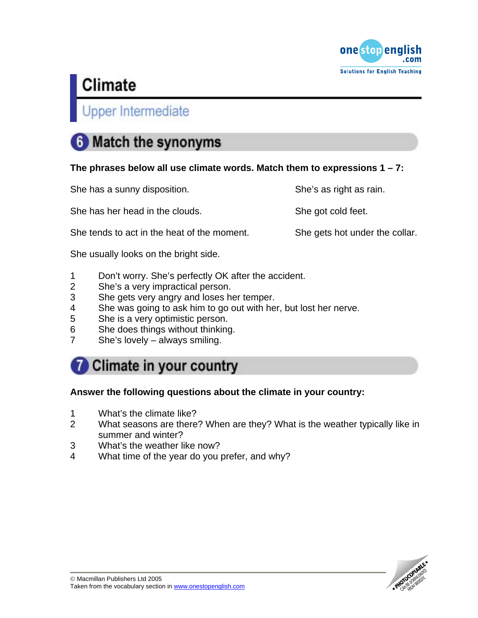

### Upper Intermediate

## **6** Match the synonyms

### **The phrases below all use climate words. Match them to expressions 1 – 7:**

| She has a sunny disposition.                | She's as right as rain.        |
|---------------------------------------------|--------------------------------|
| She has her head in the clouds.             | She got cold feet.             |
| She tends to act in the heat of the moment. | She gets hot under the collar. |
| She usually looks on the bright side.       |                                |

- 1 Don't worry. She's perfectly OK after the accident.
- 2 She's a very impractical person.
- 3 She gets very angry and loses her temper.
- 4 She was going to ask him to go out with her, but lost her nerve.
- 5 She is a very optimistic person.
- 6 She does things without thinking.
- 7 She's lovely always smiling.

### Climate in your country

### **Answer the following questions about the climate in your country:**

- 1 What's the climate like?
- 2 What seasons are there? When are they? What is the weather typically like in summer and winter?
- 3 What's the weather like now?
- 4 What time of the year do you prefer, and why?

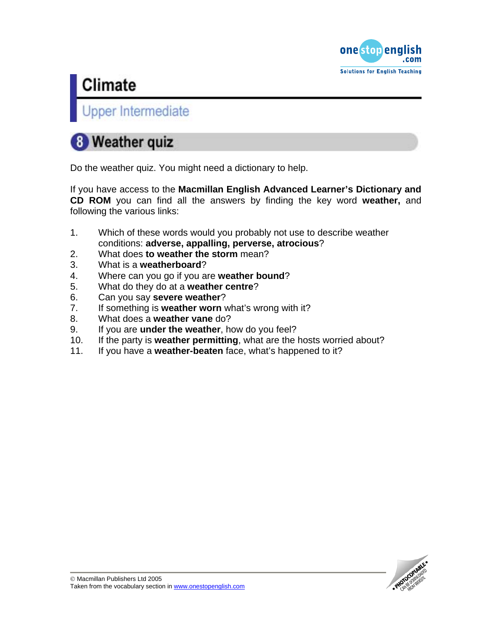

Upper Intermediate

## 8 Weather quiz

Do the weather quiz. You might need a dictionary to help.

If you have access to the **Macmillan English Advanced Learner's Dictionary and CD ROM** you can find all the answers by finding the key word **weather,** and following the various links:

- 1. Which of these words would you probably not use to describe weather conditions: **adverse, appalling, perverse, atrocious**?
- 2. What does **to weather the storm** mean?
- 3. What is a **weatherboard**?
- 4. Where can you go if you are **weather bound**?
- 5. What do they do at a **weather centre**?
- 6. Can you say **severe weather**?
- 7. If something is **weather worn** what's wrong with it?
- 8. What does a **weather vane** do?
- 9. If you are **under the weather**, how do you feel?
- 10. If the party is **weather permitting**, what are the hosts worried about?
- 11. If you have a **weather-beaten** face, what's happened to it?

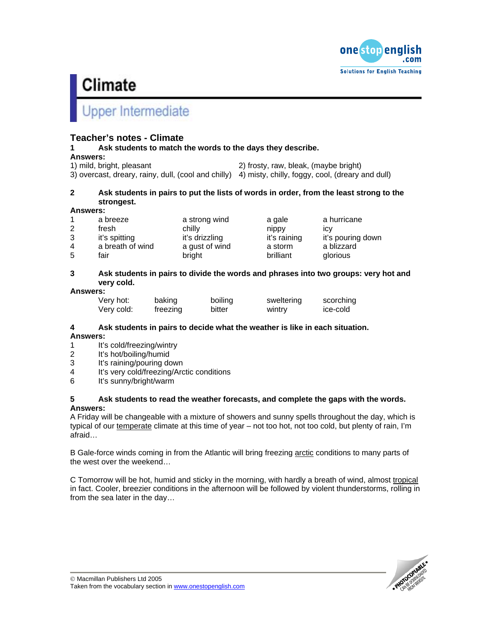

### pper Intermediate

### **Teacher's notes - Climate**

**1 Ask students to match the words to the days they describe.** 

#### **Answers:**

| 1) mild, bright, pleasant                                                                            | 2) frosty, raw, bleak, (maybe bright) |  |  |
|------------------------------------------------------------------------------------------------------|---------------------------------------|--|--|
| 3) overcast, dreary, rainy, dull, (cool and chilly) 4) misty, chilly, foggy, cool, (dreary and dull) |                                       |  |  |

### **2 Ask students in pairs to put the lists of words in order, from the least strong to the strongest.**

#### **Answers:**

|   | a breeze         | a strong wind  | a gale       | a hurricane       |
|---|------------------|----------------|--------------|-------------------|
| 2 | fresh            | chilly         | nippy        | <b>ICV</b>        |
| 3 | it's spitting    | it's drizzling | it's raining | it's pouring down |
| 4 | a breath of wind | a gust of wind | a storm      | a blizzard        |
| 5 | fair             | bright         | brilliant    | glorious          |

#### **3 Ask students in pairs to divide the words and phrases into two groups: very hot and very cold.**

#### **Answers:**

| Very hot:  | baking   | boiling | sweltering | scorching |
|------------|----------|---------|------------|-----------|
| Very cold: | freezing | bitter  | wintry     | ice-cold  |

### **4 Ask students in pairs to decide what the weather is like in each situation.**

#### **Answers:**

- 1 It's cold/freezing/wintry<br>2 It's hot/boiling/humid
- It's hot/boiling/humid
- 3 It's raining/pouring down
- 4 It's very cold/freezing/Arctic conditions
- 6 It's sunny/bright/warm

#### **5 Ask students to read the weather forecasts, and complete the gaps with the words. Answers:**

A Friday will be changeable with a mixture of showers and sunny spells throughout the day, which is typical of our temperate climate at this time of year – not too hot, not too cold, but plenty of rain, I'm afraid…

B Gale-force winds coming in from the Atlantic will bring freezing arctic conditions to many parts of the west over the weekend…

C Tomorrow will be hot, humid and sticky in the morning, with hardly a breath of wind, almost tropical in fact. Cooler, breezier conditions in the afternoon will be followed by violent thunderstorms, rolling in from the sea later in the day…